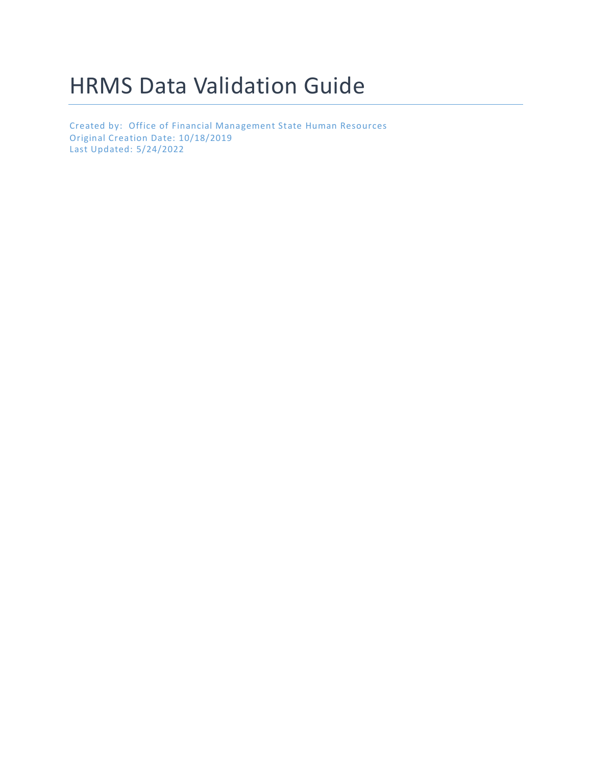# HRMS Data Validation Guide

Created by: Office of Financial Management State Human Resources Original Creation Date: 10/18/2019 Last Updated: 5/24/2022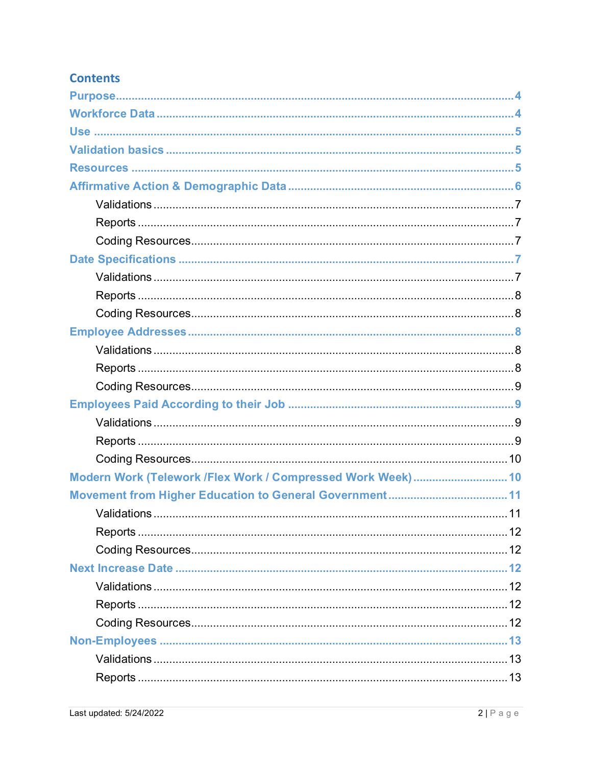# **Contents**

| Modern Work (Telework /Flex Work / Compressed Work Week)  10 |  |
|--------------------------------------------------------------|--|
|                                                              |  |
|                                                              |  |
|                                                              |  |
|                                                              |  |
|                                                              |  |
|                                                              |  |
|                                                              |  |
|                                                              |  |
|                                                              |  |
|                                                              |  |
|                                                              |  |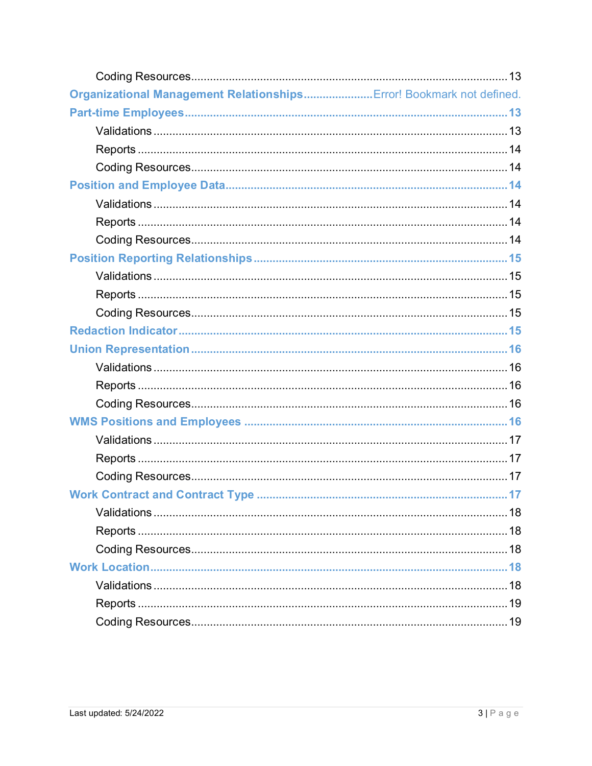| Organizational Management Relationships Error! Bookmark not defined. |  |
|----------------------------------------------------------------------|--|
|                                                                      |  |
|                                                                      |  |
|                                                                      |  |
|                                                                      |  |
|                                                                      |  |
|                                                                      |  |
|                                                                      |  |
|                                                                      |  |
|                                                                      |  |
|                                                                      |  |
|                                                                      |  |
|                                                                      |  |
|                                                                      |  |
|                                                                      |  |
|                                                                      |  |
|                                                                      |  |
|                                                                      |  |
|                                                                      |  |
|                                                                      |  |
|                                                                      |  |
|                                                                      |  |
|                                                                      |  |
|                                                                      |  |
|                                                                      |  |
|                                                                      |  |
|                                                                      |  |
|                                                                      |  |
|                                                                      |  |
|                                                                      |  |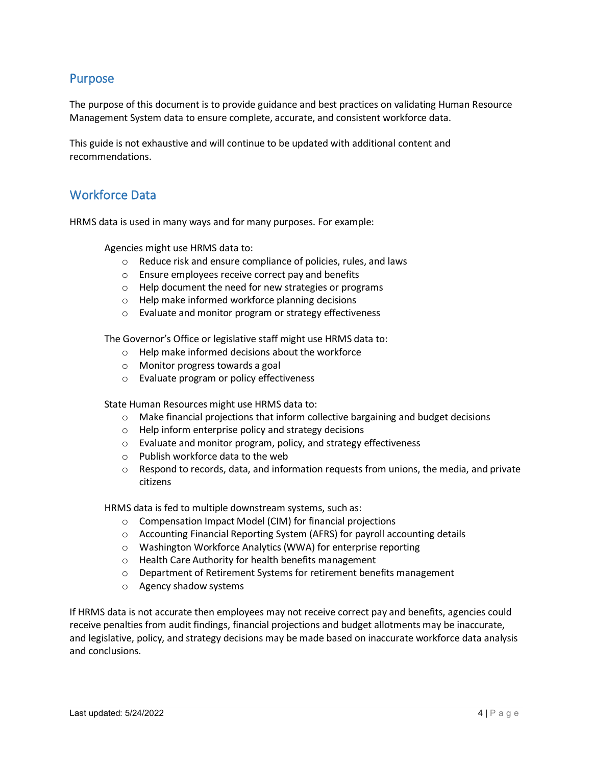# <span id="page-3-0"></span>Purpose

The purpose of this document is to provide guidance and best practices on validating Human Resource Management System data to ensure complete, accurate, and consistent workforce data.

<span id="page-3-1"></span>This guide is not exhaustive and will continue to be updated with additional content and recommendations.

# Workforce Data

HRMS data is used in many ways and for many purposes. For example:

Agencies might use HRMS data to:

- o Reduce risk and ensure compliance of policies, rules, and laws
- o Ensure employees receive correct pay and benefits
- o Help document the need for new strategies or programs
- o Help make informed workforce planning decisions
- o Evaluate and monitor program or strategy effectiveness

The Governor's Office or legislative staff might use HRMS data to:

- o Help make informed decisions about the workforce
- o Monitor progress towards a goal
- o Evaluate program or policy effectiveness

State Human Resources might use HRMS data to:

- $\circ$  Make financial projections that inform collective bargaining and budget decisions
- o Help inform enterprise policy and strategy decisions
- o Evaluate and monitor program, policy, and strategy effectiveness
- o Publish workforce data to the web
- $\circ$  Respond to records, data, and information requests from unions, the media, and private citizens

HRMS data is fed to multiple downstream systems, such as:

- o Compensation Impact Model (CIM) for financial projections
- $\circ$  Accounting Financial Reporting System (AFRS) for payroll accounting details
- o Washington Workforce Analytics (WWA) for enterprise reporting
- o Health Care Authority for health benefits management
- o Department of Retirement Systems for retirement benefits management
- o Agency shadow systems

If HRMS data is not accurate then employees may not receive correct pay and benefits, agencies could receive penalties from audit findings, financial projections and budget allotments may be inaccurate, and legislative, policy, and strategy decisions may be made based on inaccurate workforce data analysis and conclusions.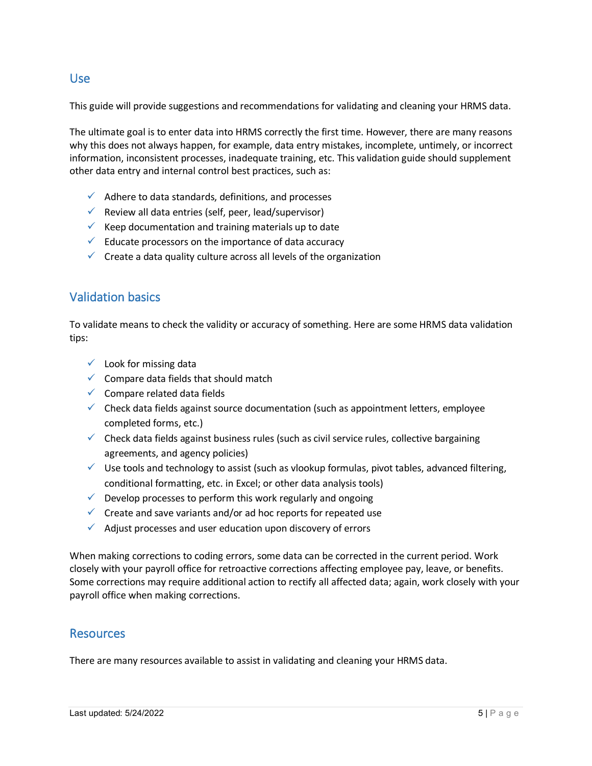# <span id="page-4-0"></span>Use

This guide will provide suggestions and recommendations for validating and cleaning your HRMS data.

The ultimate goal is to enter data into HRMS correctly the first time. However, there are many reasons why this does not always happen, for example, data entry mistakes, incomplete, untimely, or incorrect information, inconsistent processes, inadequate training, etc. This validation guide should supplement other data entry and internal control best practices, such as:

- $\checkmark$  Adhere to data standards, definitions, and processes
- $\checkmark$  Review all data entries (self, peer, lead/supervisor)
- $\checkmark$  Keep documentation and training materials up to date
- $\checkmark$  Educate processors on the importance of data accuracy
- <span id="page-4-1"></span> $\checkmark$  Create a data quality culture across all levels of the organization

# Validation basics

To validate means to check the validity or accuracy of something. Here are some HRMS data validation tips:

- $\checkmark$  Look for missing data
- $\checkmark$  Compare data fields that should match
- $\checkmark$  Compare related data fields
- $\checkmark$  Check data fields against source documentation (such as appointment letters, employee completed forms, etc.)
- $\checkmark$  Check data fields against business rules (such as civil service rules, collective bargaining agreements, and agency policies)
- $\checkmark$  Use tools and technology to assist (such as vlookup formulas, pivot tables, advanced filtering, conditional formatting, etc. in Excel; or other data analysis tools)
- $\checkmark$  Develop processes to perform this work regularly and ongoing
- $\checkmark$  Create and save variants and/or ad hoc reports for repeated use
- $\checkmark$  Adjust processes and user education upon discovery of errors

When making corrections to coding errors, some data can be corrected in the current period. Work closely with your payroll office for retroactive corrections affecting employee pay, leave, or benefits. Some corrections may require additional action to rectify all affected data; again, work closely with your payroll office when making corrections.

# <span id="page-4-2"></span>**Resources**

There are many resources available to assist in validating and cleaning your HRMS data.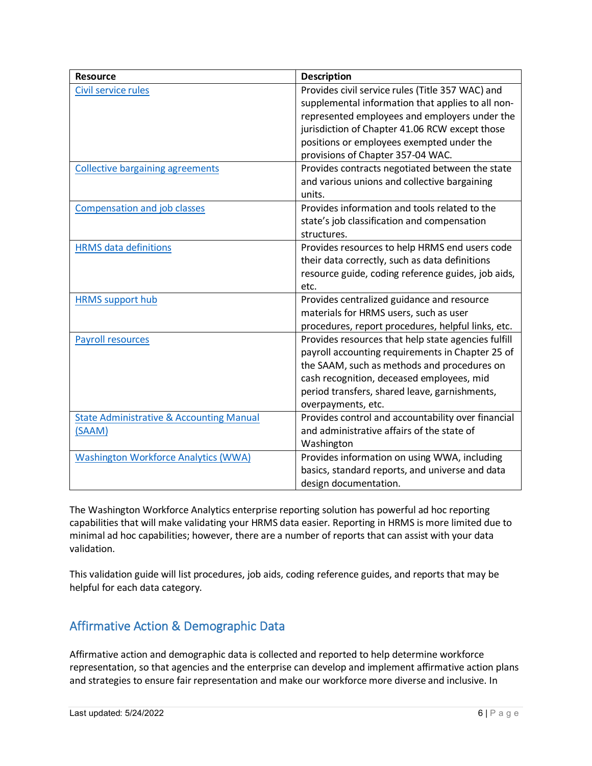| <b>Resource</b>                                     | <b>Description</b>                                                                               |
|-----------------------------------------------------|--------------------------------------------------------------------------------------------------|
| Civil service rules                                 | Provides civil service rules (Title 357 WAC) and                                                 |
|                                                     | supplemental information that applies to all non-                                                |
|                                                     | represented employees and employers under the                                                    |
|                                                     | jurisdiction of Chapter 41.06 RCW except those                                                   |
|                                                     | positions or employees exempted under the                                                        |
|                                                     | provisions of Chapter 357-04 WAC.                                                                |
| <b>Collective bargaining agreements</b>             | Provides contracts negotiated between the state                                                  |
|                                                     | and various unions and collective bargaining                                                     |
|                                                     | units.                                                                                           |
| <b>Compensation and job classes</b>                 | Provides information and tools related to the                                                    |
|                                                     | state's job classification and compensation                                                      |
|                                                     | structures.                                                                                      |
| <b>HRMS</b> data definitions                        | Provides resources to help HRMS end users code                                                   |
|                                                     | their data correctly, such as data definitions                                                   |
|                                                     | resource guide, coding reference guides, job aids,                                               |
|                                                     | etc.                                                                                             |
| <b>HRMS</b> support hub                             | Provides centralized guidance and resource                                                       |
|                                                     | materials for HRMS users, such as user                                                           |
|                                                     | procedures, report procedures, helpful links, etc.                                               |
| <b>Payroll resources</b>                            | Provides resources that help state agencies fulfill                                              |
|                                                     | payroll accounting requirements in Chapter 25 of                                                 |
|                                                     | the SAAM, such as methods and procedures on                                                      |
|                                                     | cash recognition, deceased employees, mid                                                        |
|                                                     | period transfers, shared leave, garnishments,                                                    |
|                                                     | overpayments, etc.                                                                               |
| <b>State Administrative &amp; Accounting Manual</b> | Provides control and accountability over financial<br>and administrative affairs of the state of |
| (SAAM)                                              | Washington                                                                                       |
| <b>Washington Workforce Analytics (WWA)</b>         | Provides information on using WWA, including                                                     |
|                                                     | basics, standard reports, and universe and data                                                  |
|                                                     | design documentation.                                                                            |
|                                                     |                                                                                                  |

The Washington Workforce Analytics enterprise reporting solution has powerful ad hoc reporting capabilities that will make validating your HRMS data easier. Reporting in HRMS is more limited due to minimal ad hoc capabilities; however, there are a number of reports that can assist with your data validation.

<span id="page-5-0"></span>This validation guide will list procedures, job aids, coding reference guides, and reports that may be helpful for each data category.

# Affirmative Action & Demographic Data

Affirmative action and demographic data is collected and reported to help determine workforce representation, so that agencies and the enterprise can develop and implement affirmative action plans and strategies to ensure fair representation and make our workforce more diverse and inclusive. In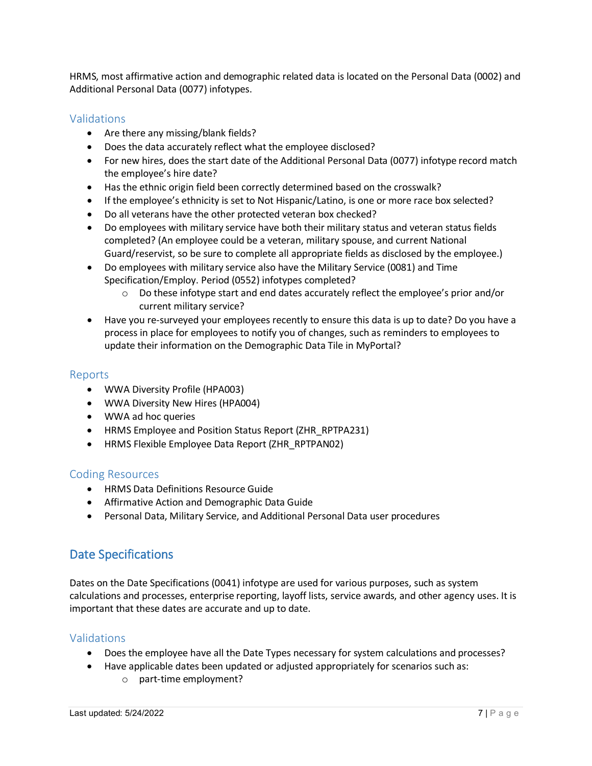HRMS, most affirmative action and demographic related data is located on the Personal Data (0002) and Additional Personal Data (0077) infotypes.

# <span id="page-6-0"></span>Validations

- Are there any missing/blank fields?
- Does the data accurately reflect what the employee disclosed?
- For new hires, does the start date of the Additional Personal Data (0077) infotype record match the employee's hire date?
- Has the ethnic origin field been correctly determined based on the crosswalk?
- If the employee's ethnicity is set to Not Hispanic/Latino, is one or more race box selected?
- Do all veterans have the other protected veteran box checked?
- Do employees with military service have both their military status and veteran status fields completed? (An employee could be a veteran, military spouse, and current National Guard/reservist, so be sure to complete all appropriate fields as disclosed by the employee.)
- Do employees with military service also have the Military Service (0081) and Time Specification/Employ. Period (0552) infotypes completed?
	- $\circ$  Do these infotype start and end dates accurately reflect the employee's prior and/or current military service?
- Have you re-surveyed your employees recently to ensure this data is up to date? Do you have a process in place for employees to notify you of changes, such as reminders to employees to update their information on the Demographic Data Tile in MyPortal?

# <span id="page-6-1"></span>Reports

- WWA Diversity Profile (HPA003)
- WWA Diversity New Hires (HPA004)
- WWA ad hoc queries
- HRMS Employee and Position Status Report (ZHR\_RPTPA231)
- HRMS Flexible Employee Data Report (ZHR\_RPTPAN02)

# <span id="page-6-2"></span>Coding Resources

- HRMS Data Definitions Resource Guide
- Affirmative Action and Demographic Data Guide
- <span id="page-6-3"></span>• Personal Data, Military Service, and Additional Personal Data user procedures

# Date Specifications

Dates on the Date Specifications (0041) infotype are used for various purposes, such as system calculations and processes, enterprise reporting, layoff lists, service awards, and other agency uses. It is important that these dates are accurate and up to date.

- <span id="page-6-4"></span>• Does the employee have all the Date Types necessary for system calculations and processes?
- Have applicable dates been updated or adjusted appropriately for scenarios such as:
	- o part-time employment?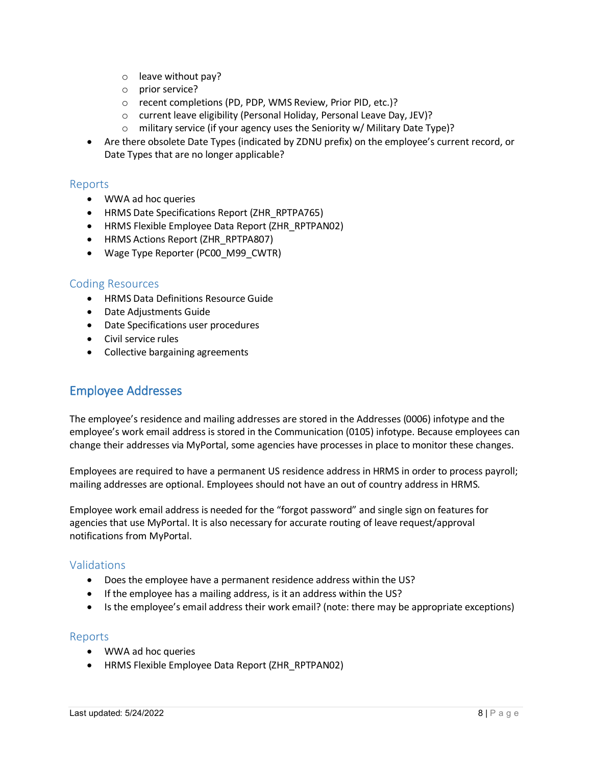- o leave without pay?
- o prior service?
- o recent completions (PD, PDP, WMS Review, Prior PID, etc.)?
- o current leave eligibility (Personal Holiday, Personal Leave Day, JEV)?
- o military service (if your agency uses the Seniority w/ Military Date Type)?
- Are there obsolete Date Types (indicated by ZDNU prefix) on the employee's current record, or Date Types that are no longer applicable?

#### <span id="page-7-0"></span>Reports

- WWA ad hoc queries
- HRMS Date Specifications Report (ZHR\_RPTPA765)
- HRMS Flexible Employee Data Report (ZHR\_RPTPAN02)
- HRMS Actions Report (ZHR\_RPTPA807)
- Wage Type Reporter (PC00\_M99\_CWTR)

#### <span id="page-7-1"></span>Coding Resources

- HRMS Data Definitions Resource Guide
- Date Adjustments Guide
- Date Specifications user procedures
- Civil service rules
- <span id="page-7-2"></span>• Collective bargaining agreements

# Employee Addresses

The employee's residence and mailing addresses are stored in the Addresses (0006) infotype and the employee's work email address is stored in the Communication (0105) infotype. Because employees can change their addresses via MyPortal, some agencies have processes in place to monitor these changes.

Employees are required to have a permanent US residence address in HRMS in order to process payroll; mailing addresses are optional. Employees should not have an out of country address in HRMS.

Employee work email address is needed for the "forgot password" and single sign on features for agencies that use MyPortal. It is also necessary for accurate routing of leave request/approval notifications from MyPortal.

# <span id="page-7-3"></span>Validations

- Does the employee have a permanent residence address within the US?
- If the employee has a mailing address, is it an address within the US?
- Is the employee's email address their work email? (note: there may be appropriate exceptions)

#### <span id="page-7-4"></span>Reports

- WWA ad hoc queries
- HRMS Flexible Employee Data Report (ZHR\_RPTPAN02)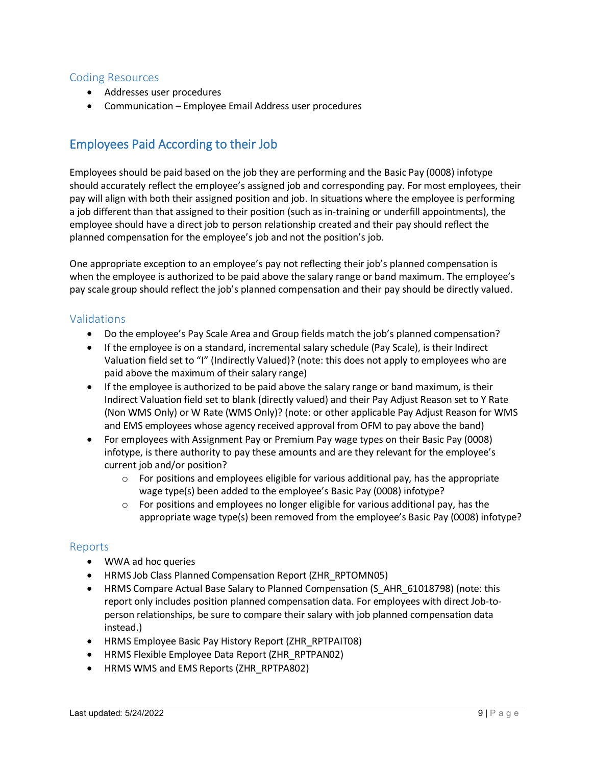# <span id="page-8-0"></span>Coding Resources

- Addresses user procedures
- <span id="page-8-1"></span>• Communication – Employee Email Address user procedures

# Employees Paid According to their Job

Employees should be paid based on the job they are performing and the Basic Pay (0008) infotype should accurately reflect the employee's assigned job and corresponding pay. For most employees, their pay will align with both their assigned position and job. In situations where the employee is performing a job different than that assigned to their position (such as in-training or underfill appointments), the employee should have a direct job to person relationship created and their pay should reflect the planned compensation for the employee's job and not the position's job.

One appropriate exception to an employee's pay not reflecting their job's planned compensation is when the employee is authorized to be paid above the salary range or band maximum. The employee's pay scale group should reflect the job's planned compensation and their pay should be directly valued.

# <span id="page-8-2"></span>Validations

- Do the employee's Pay Scale Area and Group fields match the job's planned compensation?
- If the employee is on a standard, incremental salary schedule (Pay Scale), is their Indirect Valuation field set to "I" (Indirectly Valued)? (note: this does not apply to employees who are paid above the maximum of their salary range)
- If the employee is authorized to be paid above the salary range or band maximum, is their Indirect Valuation field set to blank (directly valued) and their Pay Adjust Reason set to Y Rate (Non WMS Only) or W Rate (WMS Only)? (note: or other applicable Pay Adjust Reason for WMS and EMS employees whose agency received approval from OFM to pay above the band)
- For employees with Assignment Pay or Premium Pay wage types on their Basic Pay (0008) infotype, is there authority to pay these amounts and are they relevant for the employee's current job and/or position?
	- $\circ$  For positions and employees eligible for various additional pay, has the appropriate wage type(s) been added to the employee's Basic Pay (0008) infotype?
	- $\circ$  For positions and employees no longer eligible for various additional pay, has the appropriate wage type(s) been removed from the employee's Basic Pay (0008) infotype?

#### <span id="page-8-3"></span>Reports

- WWA ad hoc queries
- HRMS Job Class Planned Compensation Report (ZHR\_RPTOMN05)
- HRMS Compare Actual Base Salary to Planned Compensation (S\_AHR\_61018798) (note: this report only includes position planned compensation data. For employees with direct Job-toperson relationships, be sure to compare their salary with job planned compensation data instead.)
- HRMS Employee Basic Pay History Report (ZHR\_RPTPAIT08)
- HRMS Flexible Employee Data Report (ZHR\_RPTPAN02)
- HRMS WMS and EMS Reports (ZHR\_RPTPA802)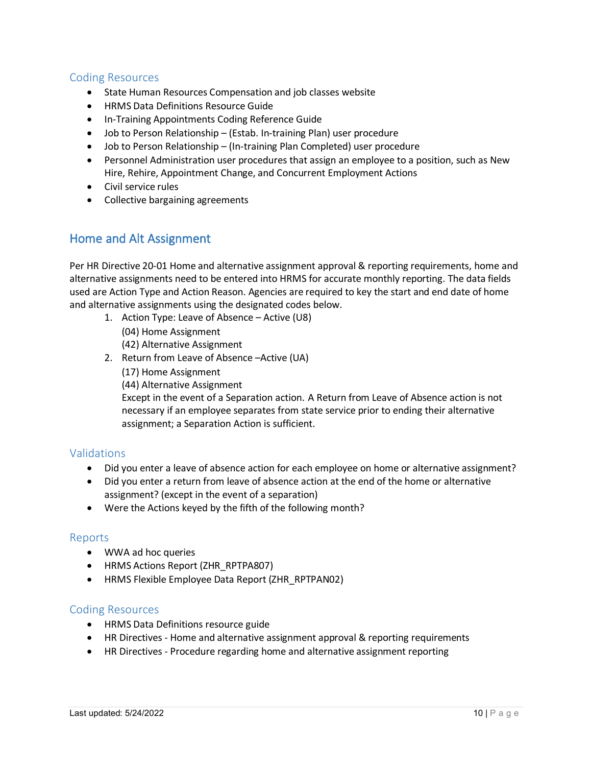# <span id="page-9-0"></span>Coding Resources

- State Human Resources Compensation and job classes website
- HRMS Data Definitions Resource Guide
- In-Training Appointments Coding Reference Guide
- Job to Person Relationship (Estab. In-training Plan) user procedure
- Job to Person Relationship (In-training Plan Completed) user procedure
- Personnel Administration user procedures that assign an employee to a position, such as New Hire, Rehire, Appointment Change, and Concurrent Employment Actions
- Civil service rules
- <span id="page-9-1"></span>• Collective bargaining agreements

# Home and Alt Assignment

Per HR Directive 20-01 Home and alternative assignment approval & reporting requirements, home and alternative assignments need to be entered into HRMS for accurate monthly reporting. The data fields used are Action Type and Action Reason. Agencies are required to key the start and end date of home and alternative assignments using the designated codes below.

- 1. Action Type: Leave of Absence Active (U8) (04) Home Assignment
	- (42) Alternative Assignment
- 2. Return from Leave of Absence –Active (UA) (17) Home Assignment (44) Alternative Assignment Except in the event of a Separation action. A Return from Leave of Absence action is not necessary if an employee separates from state service prior to ending their alternative assignment; a Separation Action is sufficient.

# Validations

- Did you enter a leave of absence action for each employee on home or alternative assignment?
- Did you enter a return from leave of absence action at the end of the home or alternative assignment? (except in the event of a separation)
- Were the Actions keyed by the fifth of the following month?

#### Reports

- WWA ad hoc queries
- HRMS Actions Report (ZHR\_RPTPA807)
- HRMS Flexible Employee Data Report (ZHR\_RPTPAN02)

- HRMS Data Definitions resource guide
- HR Directives Home and alternative assignment approval & reporting requirements
- HR Directives Procedure regarding home and alternative assignment reporting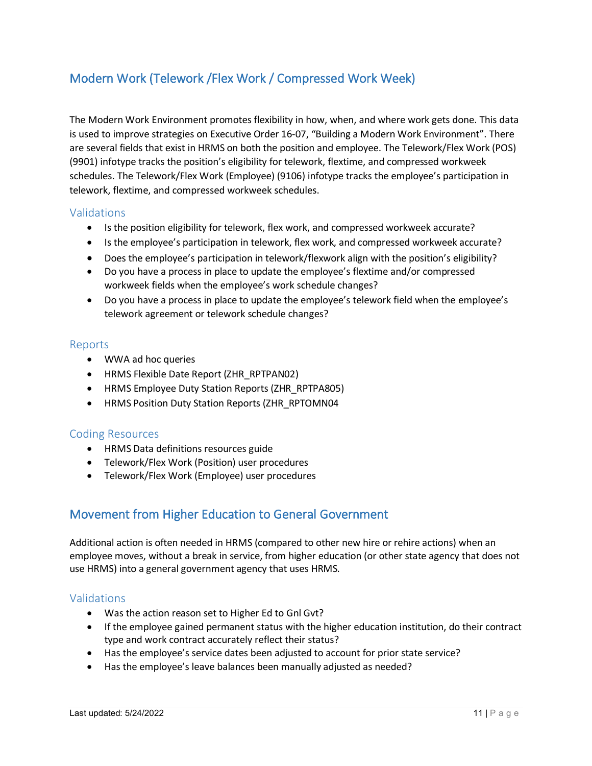# Modern Work (Telework /Flex Work / Compressed Work Week)

The Modern Work Environment promotes flexibility in how, when, and where work gets done. This data is used to improve strategies on Executive Order 16-07, "Building a Modern Work Environment". There are several fields that exist in HRMS on both the position and employee. The Telework/Flex Work (POS) (9901) infotype tracks the position's eligibility for telework, flextime, and compressed workweek schedules. The Telework/Flex Work (Employee) (9106) infotype tracks the employee's participation in telework, flextime, and compressed workweek schedules.

# Validations

- Is the position eligibility for telework, flex work, and compressed workweek accurate?
- Is the employee's participation in telework, flex work, and compressed workweek accurate?
- Does the employee's participation in telework/flexwork align with the position's eligibility?
- Do you have a process in place to update the employee's flextime and/or compressed workweek fields when the employee's work schedule changes?
- Do you have a process in place to update the employee's telework field when the employee's telework agreement or telework schedule changes?

#### Reports

- WWA ad hoc queries
- HRMS Flexible Date Report (ZHR\_RPTPAN02)
- HRMS Employee Duty Station Reports (ZHR\_RPTPA805)
- HRMS Position Duty Station Reports (ZHR\_RPTOMN04

#### Coding Resources

- HRMS Data definitions resources guide
- Telework/Flex Work (Position) user procedures
- <span id="page-10-0"></span>• Telework/Flex Work (Employee) user procedures

# Movement from Higher Education to General Government

Additional action is often needed in HRMS (compared to other new hire or rehire actions) when an employee moves, without a break in service, from higher education (or other state agency that does not use HRMS) into a general government agency that uses HRMS.

- <span id="page-10-1"></span>• Was the action reason set to Higher Ed to Gnl Gvt?
- If the employee gained permanent status with the higher education institution, do their contract type and work contract accurately reflect their status?
- Has the employee's service dates been adjusted to account for prior state service?
- Has the employee's leave balances been manually adjusted as needed?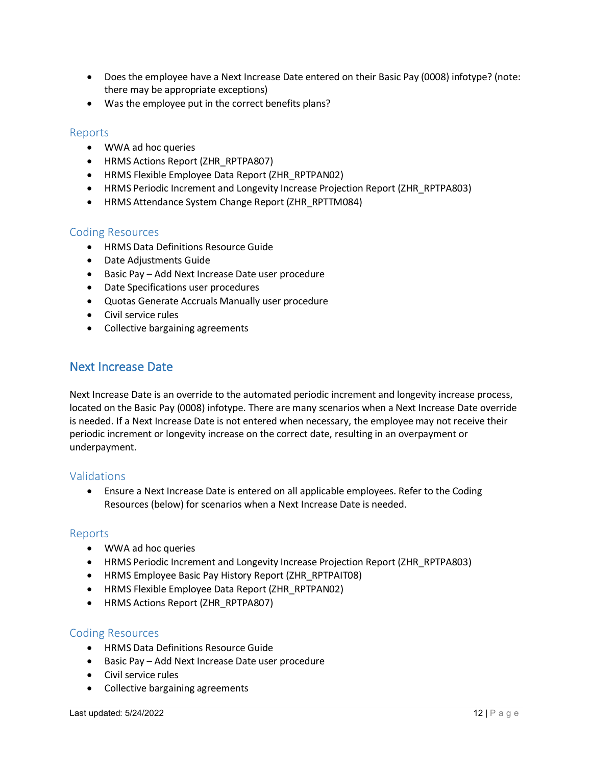- Does the employee have a Next Increase Date entered on their Basic Pay (0008) infotype? (note: there may be appropriate exceptions)
- Was the employee put in the correct benefits plans?

#### <span id="page-11-0"></span>Reports

- WWA ad hoc queries
- HRMS Actions Report (ZHR\_RPTPA807)
- HRMS Flexible Employee Data Report (ZHR\_RPTPAN02)
- HRMS Periodic Increment and Longevity Increase Projection Report (ZHR\_RPTPA803)
- HRMS Attendance System Change Report (ZHR\_RPTTM084)

#### <span id="page-11-1"></span>Coding Resources

- HRMS Data Definitions Resource Guide
- Date Adjustments Guide
- Basic Pay Add Next Increase Date user procedure
- Date Specifications user procedures
- Quotas Generate Accruals Manually user procedure
- Civil service rules
- <span id="page-11-2"></span>• Collective bargaining agreements

# Next Increase Date

Next Increase Date is an override to the automated periodic increment and longevity increase process, located on the Basic Pay (0008) infotype. There are many scenarios when a Next Increase Date override is needed. If a Next Increase Date is not entered when necessary, the employee may not receive their periodic increment or longevity increase on the correct date, resulting in an overpayment or underpayment.

# <span id="page-11-3"></span>Validations

• Ensure a Next Increase Date is entered on all applicable employees. Refer to the Coding Resources (below) for scenarios when a Next Increase Date is needed.

#### <span id="page-11-4"></span>Reports

- WWA ad hoc queries
- HRMS Periodic Increment and Longevity Increase Projection Report (ZHR\_RPTPA803)
- HRMS Employee Basic Pay History Report (ZHR\_RPTPAIT08)
- HRMS Flexible Employee Data Report (ZHR\_RPTPAN02)
- HRMS Actions Report (ZHR\_RPTPA807)

- <span id="page-11-5"></span>• HRMS Data Definitions Resource Guide
- Basic Pay Add Next Increase Date user procedure
- Civil service rules
- Collective bargaining agreements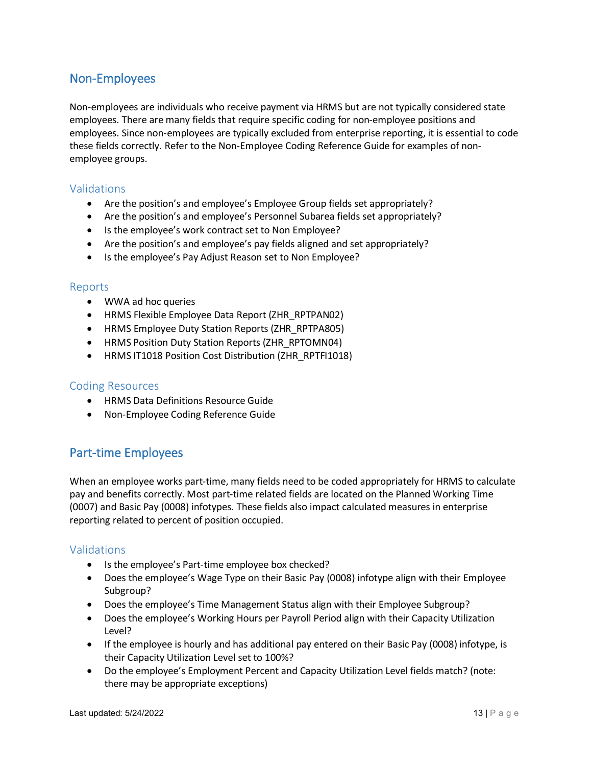# <span id="page-12-0"></span>Non-Employees

Non-employees are individuals who receive payment via HRMS but are not typically considered state employees. There are many fields that require specific coding for non-employee positions and employees. Since non-employees are typically excluded from enterprise reporting, it is essential to code these fields correctly. Refer to the Non-Employee Coding Reference Guide for examples of nonemployee groups.

### <span id="page-12-1"></span>Validations

- Are the position's and employee's Employee Group fields set appropriately?
- Are the position's and employee's Personnel Subarea fields set appropriately?
- Is the employee's work contract set to Non Employee?
- Are the position's and employee's pay fields aligned and set appropriately?
- Is the employee's Pay Adjust Reason set to Non Employee?

#### <span id="page-12-2"></span>Reports

- WWA ad hoc queries
- HRMS Flexible Employee Data Report (ZHR\_RPTPAN02)
- HRMS Employee Duty Station Reports (ZHR\_RPTPA805)
- HRMS Position Duty Station Reports (ZHR\_RPTOMN04)
- HRMS IT1018 Position Cost Distribution (ZHR\_RPTFI1018)

#### <span id="page-12-3"></span>Coding Resources

- HRMS Data Definitions Resource Guide
- <span id="page-12-4"></span>• Non-Employee Coding Reference Guide

# Part-time Employees

When an employee works part-time, many fields need to be coded appropriately for HRMS to calculate pay and benefits correctly. Most part-time related fields are located on the Planned Working Time (0007) and Basic Pay (0008) infotypes. These fields also impact calculated measures in enterprise reporting related to percent of position occupied.

- <span id="page-12-5"></span>• Is the employee's Part-time employee box checked?
- Does the employee's Wage Type on their Basic Pay (0008) infotype align with their Employee Subgroup?
- Does the employee's Time Management Status align with their Employee Subgroup?
- Does the employee's Working Hours per Payroll Period align with their Capacity Utilization Level?
- If the employee is hourly and has additional pay entered on their Basic Pay (0008) infotype, is their Capacity Utilization Level set to 100%?
- Do the employee's Employment Percent and Capacity Utilization Level fields match? (note: there may be appropriate exceptions)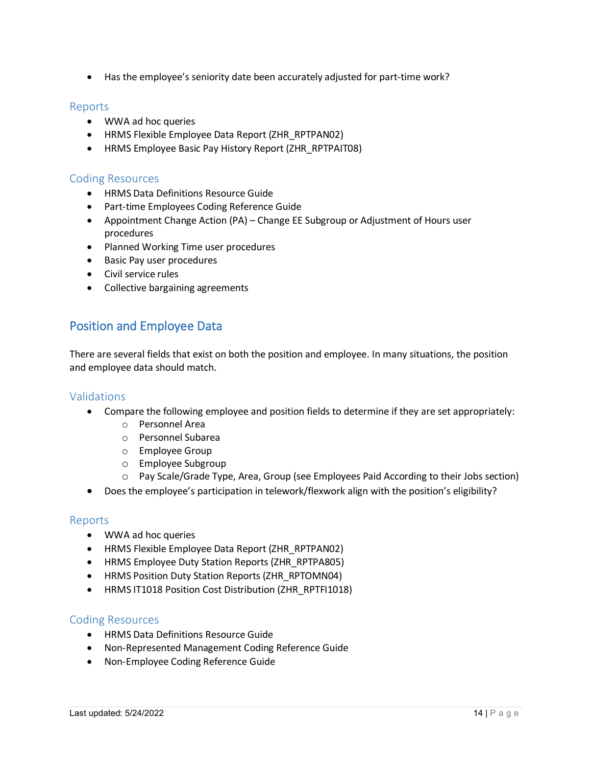• Has the employee's seniority date been accurately adjusted for part-time work?

#### <span id="page-13-0"></span>Reports

- WWA ad hoc queries
- HRMS Flexible Employee Data Report (ZHR\_RPTPAN02)
- HRMS Employee Basic Pay History Report (ZHR\_RPTPAIT08)

#### <span id="page-13-1"></span>Coding Resources

- HRMS Data Definitions Resource Guide
- Part-time Employees Coding Reference Guide
- Appointment Change Action (PA) Change EE Subgroup or Adjustment of Hours user procedures
- Planned Working Time user procedures
- Basic Pay user procedures
- Civil service rules
- <span id="page-13-2"></span>• Collective bargaining agreements

# Position and Employee Data

There are several fields that exist on both the position and employee. In many situations, the position and employee data should match.

# <span id="page-13-3"></span>Validations

- Compare the following employee and position fields to determine if they are set appropriately:
	- o Personnel Area
	- o Personnel Subarea
	- o Employee Group
	- o Employee Subgroup
	- o Pay Scale/Grade Type, Area, Group (see Employees Paid According to their Jobs section)
- Does the employee's participation in telework/flexwork align with the position's eligibility?

#### <span id="page-13-4"></span>Reports

- WWA ad hoc queries
- HRMS Flexible Employee Data Report (ZHR\_RPTPAN02)
- HRMS Employee Duty Station Reports (ZHR\_RPTPA805)
- HRMS Position Duty Station Reports (ZHR\_RPTOMN04)
- HRMS IT1018 Position Cost Distribution (ZHR\_RPTFI1018)

- <span id="page-13-5"></span>• HRMS Data Definitions Resource Guide
- Non-Represented Management Coding Reference Guide
- Non-Employee Coding Reference Guide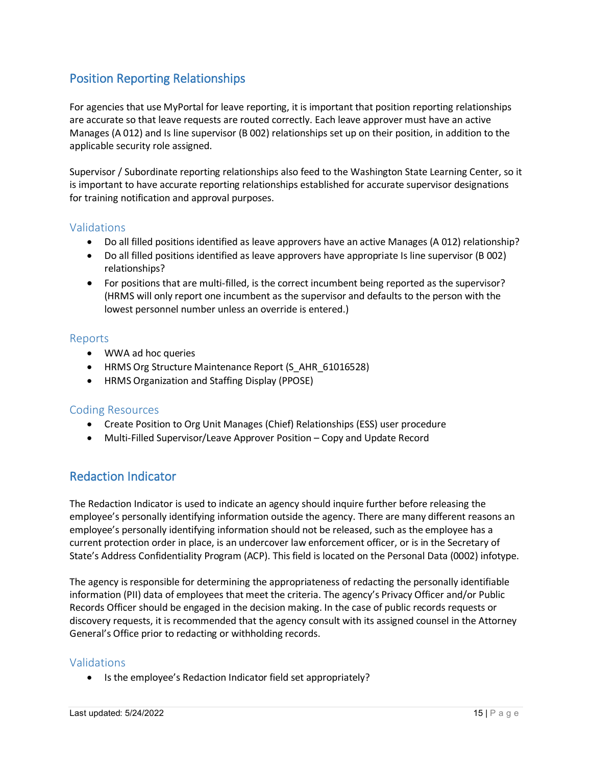# <span id="page-14-0"></span>Position Reporting Relationships

For agencies that use MyPortal for leave reporting, it is important that position reporting relationships are accurate so that leave requests are routed correctly. Each leave approver must have an active Manages (A 012) and Is line supervisor (B 002) relationships set up on their position, in addition to the applicable security role assigned.

Supervisor / Subordinate reporting relationships also feed to the Washington State Learning Center, so it is important to have accurate reporting relationships established for accurate supervisor designations for training notification and approval purposes.

# <span id="page-14-1"></span>Validations

- Do all filled positions identified as leave approvers have an active Manages (A 012) relationship?
- Do all filled positions identified as leave approvers have appropriate Is line supervisor (B 002) relationships?
- For positions that are multi-filled, is the correct incumbent being reported as the supervisor? (HRMS will only report one incumbent as the supervisor and defaults to the person with the lowest personnel number unless an override is entered.)

#### <span id="page-14-2"></span>Reports

- WWA ad hoc queries
- HRMS Org Structure Maintenance Report (S\_AHR\_61016528)
- HRMS Organization and Staffing Display (PPOSE)

# <span id="page-14-3"></span>Coding Resources

- Create Position to Org Unit Manages (Chief) Relationships (ESS) user procedure
- <span id="page-14-4"></span>• Multi-Filled Supervisor/Leave Approver Position – Copy and Update Record

# Redaction Indicator

The Redaction Indicator is used to indicate an agency should inquire further before releasing the employee's personally identifying information outside the agency. There are many different reasons an employee's personally identifying information should not be released, such as the employee has a current protection order in place, is an undercover law enforcement officer, or is in the Secretary of State's Address Confidentiality Program (ACP). This field is located on the Personal Data (0002) infotype.

The agency is responsible for determining the appropriateness of redacting the personally identifiable information (PII) data of employees that meet the criteria. The agency's Privacy Officer and/or Public Records Officer should be engaged in the decision making. In the case of public records requests or discovery requests, it is recommended that the agency consult with its assigned counsel in the Attorney General's Office prior to redacting or withholding records.

# Validations

• Is the employee's Redaction Indicator field set appropriately?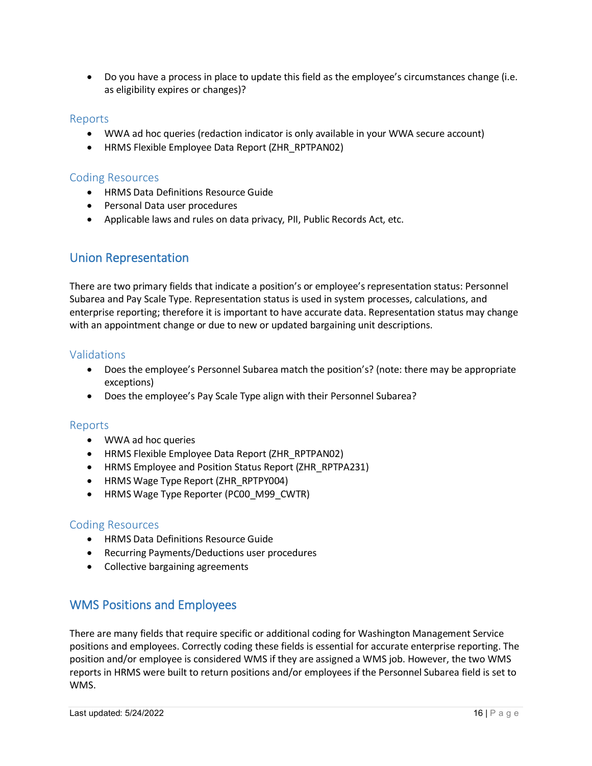• Do you have a process in place to update this field as the employee's circumstances change (i.e. as eligibility expires or changes)?

### Reports

- WWA ad hoc queries (redaction indicator is only available in your WWA secure account)
- HRMS Flexible Employee Data Report (ZHR\_RPTPAN02)

#### Coding Resources

- HRMS Data Definitions Resource Guide
- Personal Data user procedures
- <span id="page-15-0"></span>• Applicable laws and rules on data privacy, PII, Public Records Act, etc.

# Union Representation

There are two primary fields that indicate a position's or employee's representation status: Personnel Subarea and Pay Scale Type. Representation status is used in system processes, calculations, and enterprise reporting; therefore it is important to have accurate data. Representation status may change with an appointment change or due to new or updated bargaining unit descriptions.

# <span id="page-15-1"></span>Validations

- Does the employee's Personnel Subarea match the position's? (note: there may be appropriate exceptions)
- Does the employee's Pay Scale Type align with their Personnel Subarea?

# <span id="page-15-2"></span>Reports

- WWA ad hoc queries
- HRMS Flexible Employee Data Report (ZHR\_RPTPAN02)
- HRMS Employee and Position Status Report (ZHR\_RPTPA231)
- HRMS Wage Type Report (ZHR\_RPTPY004)
- HRMS Wage Type Reporter (PC00 M99 CWTR)

#### <span id="page-15-3"></span>Coding Resources

- HRMS Data Definitions Resource Guide
- Recurring Payments/Deductions user procedures
- <span id="page-15-4"></span>• Collective bargaining agreements

# WMS Positions and Employees

There are many fields that require specific or additional coding for Washington Management Service positions and employees. Correctly coding these fields is essential for accurate enterprise reporting. The position and/or employee is considered WMS if they are assigned a WMS job. However, the two WMS reports in HRMS were built to return positions and/or employees if the Personnel Subarea field is set to WMS.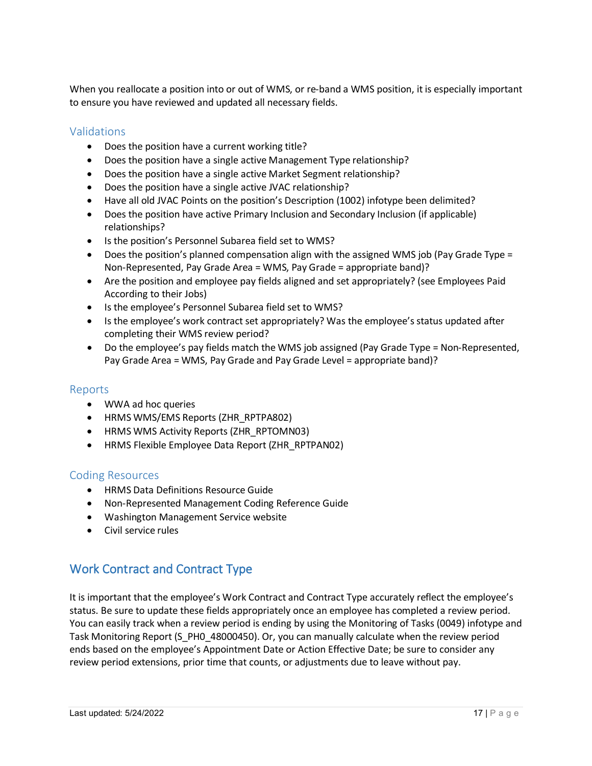When you reallocate a position into or out of WMS, or re-band a WMS position, it is especially important to ensure you have reviewed and updated all necessary fields.

# <span id="page-16-0"></span>Validations

- Does the position have a current working title?
- Does the position have a single active Management Type relationship?
- Does the position have a single active Market Segment relationship?
- Does the position have a single active JVAC relationship?
- Have all old JVAC Points on the position's Description (1002) infotype been delimited?
- Does the position have active Primary Inclusion and Secondary Inclusion (if applicable) relationships?
- Is the position's Personnel Subarea field set to WMS?
- Does the position's planned compensation align with the assigned WMS job (Pay Grade Type = Non-Represented, Pay Grade Area = WMS, Pay Grade = appropriate band)?
- Are the position and employee pay fields aligned and set appropriately? (see Employees Paid According to their Jobs)
- Is the employee's Personnel Subarea field set to WMS?
- Is the employee's work contract set appropriately? Was the employee's status updated after completing their WMS review period?
- Do the employee's pay fields match the WMS job assigned (Pay Grade Type = Non-Represented, Pay Grade Area = WMS, Pay Grade and Pay Grade Level = appropriate band)?

### <span id="page-16-1"></span>Reports

- WWA ad hoc queries
- HRMS WMS/EMS Reports (ZHR\_RPTPA802)
- HRMS WMS Activity Reports (ZHR\_RPTOMN03)
- HRMS Flexible Employee Data Report (ZHR\_RPTPAN02)

#### <span id="page-16-2"></span>Coding Resources

- HRMS Data Definitions Resource Guide
- Non-Represented Management Coding Reference Guide
- Washington Management Service website
- <span id="page-16-3"></span>• Civil service rules

# Work Contract and Contract Type

It is important that the employee's Work Contract and Contract Type accurately reflect the employee's status. Be sure to update these fields appropriately once an employee has completed a review period. You can easily track when a review period is ending by using the Monitoring of Tasks (0049) infotype and Task Monitoring Report (S\_PH0\_48000450). Or, you can manually calculate when the review period ends based on the employee's Appointment Date or Action Effective Date; be sure to consider any review period extensions, prior time that counts, or adjustments due to leave without pay.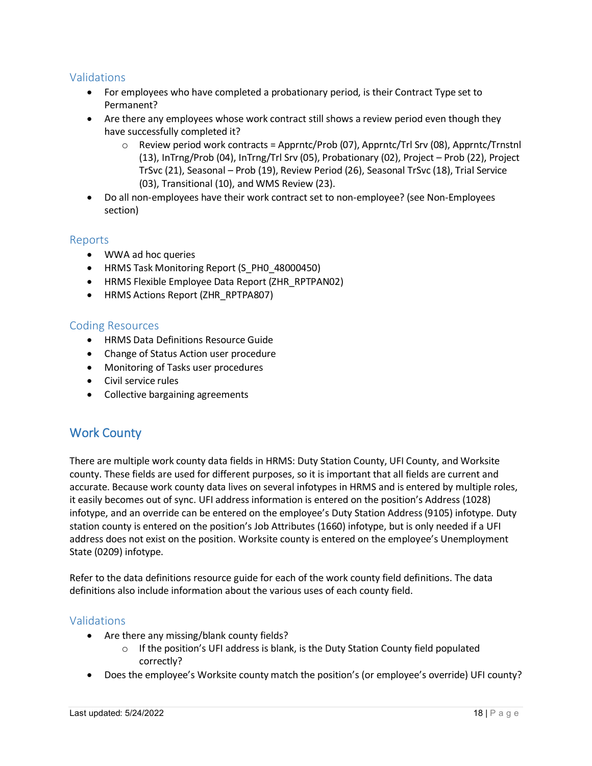# <span id="page-17-0"></span>Validations

- For employees who have completed a probationary period, is their Contract Type set to Permanent?
- Are there any employees whose work contract still shows a review period even though they have successfully completed it?
	- $\circ$  Review period work contracts = Apprntc/Prob (07), Apprntc/Trl Srv (08), Apprntc/Trnstnl (13), InTrng/Prob (04), InTrng/Trl Srv (05), Probationary (02), Project – Prob (22), Project TrSvc (21), Seasonal – Prob (19), Review Period (26), Seasonal TrSvc (18), Trial Service (03), Transitional (10), and WMS Review (23).
- Do all non-employees have their work contract set to non-employee? (see Non-Employees section)

#### <span id="page-17-1"></span>Reports

- WWA ad hoc queries
- HRMS Task Monitoring Report (S\_PH0\_48000450)
- HRMS Flexible Employee Data Report (ZHR\_RPTPAN02)
- HRMS Actions Report (ZHR\_RPTPA807)

#### <span id="page-17-2"></span>Coding Resources

- HRMS Data Definitions Resource Guide
- Change of Status Action user procedure
- Monitoring of Tasks user procedures
- Civil service rules
- <span id="page-17-3"></span>• Collective bargaining agreements

# Work County

There are multiple work county data fields in HRMS: Duty Station County, UFI County, and Worksite county. These fields are used for different purposes, so it is important that all fields are current and accurate. Because work county data lives on several infotypes in HRMS and is entered by multiple roles, it easily becomes out of sync. UFI address information is entered on the position's Address (1028) infotype, and an override can be entered on the employee's Duty Station Address (9105) infotype. Duty station county is entered on the position's Job Attributes (1660) infotype, but is only needed if a UFI address does not exist on the position. Worksite county is entered on the employee's Unemployment State (0209) infotype.

Refer to the data definitions resource guide for each of the work county field definitions. The data definitions also include information about the various uses of each county field.

- <span id="page-17-4"></span>• Are there any missing/blank county fields?
	- o If the position's UFI address is blank, is the Duty Station County field populated correctly?
- Does the employee's Worksite county match the position's (or employee's override) UFI county?